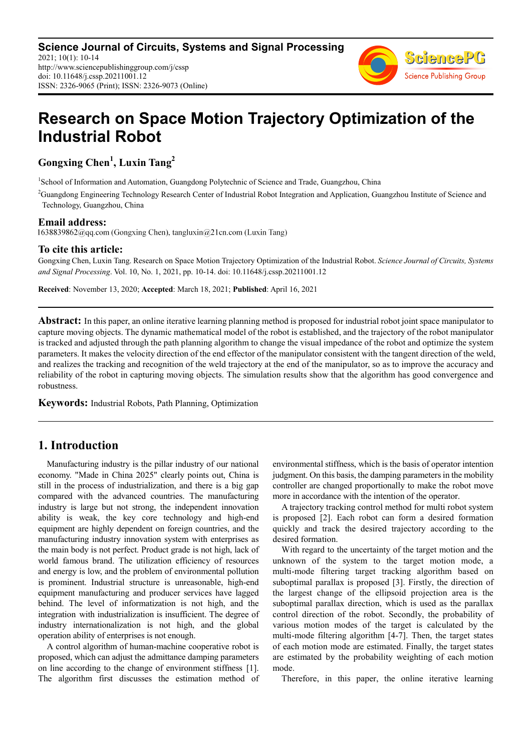

# **Research on Space Motion Trajectory Optimization of the Industrial Robot**

**Gongxing Chen<sup>1</sup> , Luxin Tang<sup>2</sup>**

<sup>1</sup>School of Information and Automation, Guangdong Polytechnic of Science and Trade, Guangzhou, China

<sup>2</sup>Guangdong Engineering Technology Research Center of Industrial Robot Integration and Application, Guangzhou Institute of Science and Technology, Guangzhou, China

**Email address:**<br>1638839862@gq.com (Gongxing Chen), tangluxin@21cn.com (Luxin Tang)

#### **To cite this article:**

Gongxing Chen, Luxin Tang. Research on Space Motion Trajectory Optimization of the Industrial Robot. *Science Journal of Circuits, Systems and Signal Processing*. Vol. 10, No. 1, 2021, pp. 10-14. doi: 10.11648/j.cssp.20211001.12

**Received**: November 13, 2020; **Accepted**: March 18, 2021; **Published**: April 16, 2021

**Abstract:** In this paper, an online iterative learning planning method is proposed for industrial robot joint space manipulator to capture moving objects. The dynamic mathematical model of the robot is established, and the trajectory of the robot manipulator is tracked and adjusted through the path planning algorithm to change the visual impedance of the robot and optimize the system parameters. It makes the velocity direction of the end effector of the manipulator consistent with the tangent direction of the weld, and realizes the tracking and recognition of the weld trajectory at the end of the manipulator, so as to improve the accuracy and reliability of the robot in capturing moving objects. The simulation results show that the algorithm has good convergence and robustness.

**Keywords:** Industrial Robots, Path Planning, Optimization

## **1. Introduction**

Manufacturing industry is the pillar industry of our national economy. "Made in China 2025" clearly points out, China is still in the process of industrialization, and there is a big gap compared with the advanced countries. The manufacturing industry is large but not strong, the independent innovation ability is weak, the key core technology and high-end equipment are highly dependent on foreign countries, and the manufacturing industry innovation system with enterprises as the main body is not perfect. Product grade is not high, lack of world famous brand. The utilization efficiency of resources and energy is low, and the problem of environmental pollution is prominent. Industrial structure is unreasonable, high-end equipment manufacturing and producer services have lagged behind. The level of informatization is not high, and the integration with industrialization is insufficient. The degree of industry internationalization is not high, and the global operation ability of enterprises is not enough.

A control algorithm of human-machine cooperative robot is proposed, which can adjust the admittance damping parameters on line according to the change of environment stiffness [1]. The algorithm first discusses the estimation method of environmental stiffness, which is the basis of operator intention judgment. On this basis, the damping parameters in the mobility controller are changed proportionally to make the robot move more in accordance with the intention of the operator.

A trajectory tracking control method for multi robot system is proposed [2]. Each robot can form a desired formation quickly and track the desired trajectory according to the desired formation.

With regard to the uncertainty of the target motion and the unknown of the system to the target motion mode, a multi-mode filtering target tracking algorithm based on suboptimal parallax is proposed [3]. Firstly, the direction of the largest change of the ellipsoid projection area is the suboptimal parallax direction, which is used as the parallax control direction of the robot. Secondly, the probability of various motion modes of the target is calculated by the multi-mode filtering algorithm [4-7]. Then, the target states of each motion mode are estimated. Finally, the target states are estimated by the probability weighting of each motion mode.

Therefore, in this paper, the online iterative learning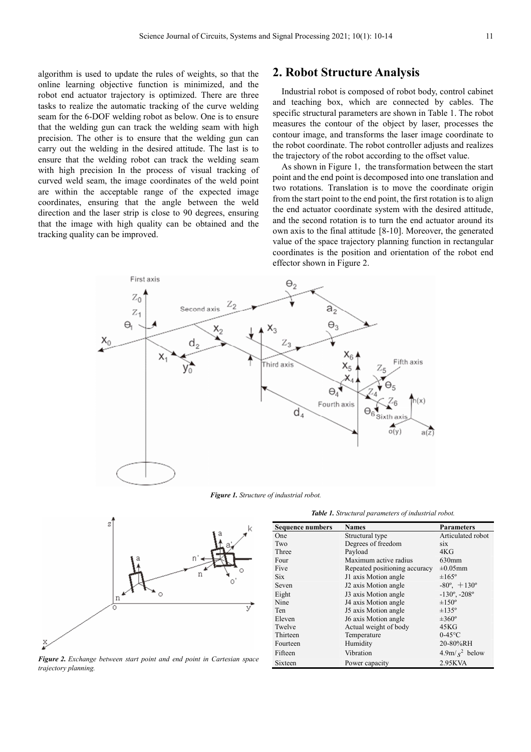algorithm is used to update the rules of weights, so that the online learning objective function is minimized, and the robot end actuator trajectory is optimized. There are three tasks to realize the automatic tracking of the curve welding seam for the 6-DOF welding robot as below. One is to ensure that the welding gun can track the welding seam with high precision. The other is to ensure that the welding gun can carry out the welding in the desired attitude. The last is to ensure that the welding robot can track the welding seam with high precision In the process of visual tracking of curved weld seam, the image coordinates of the weld point are within the acceptable range of the expected image coordinates, ensuring that the angle between the weld direction and the laser strip is close to 90 degrees, ensuring that the image with high quality can be obtained and the tracking quality can be improved.

### **2. Robot Structure Analysis**

Industrial robot is composed of robot body, control cabinet and teaching box, which are connected by cables. The specific structural parameters are shown in Table 1. The robot measures the contour of the object by laser, processes the contour image, and transforms the laser image coordinate to the robot coordinate. The robot controller adjusts and realizes the trajectory of the robot according to the offset value.

As shown in Figure 1, the transformation between the start point and the end point is decomposed into one translation and two rotations. Translation is to move the coordinate origin from the start point to the end point, the first rotation is to align the end actuator coordinate system with the desired attitude, and the second rotation is to turn the end actuator around its own axis to the final attitude [8-10]. Moreover, the generated value of the space trajectory planning function in rectangular coordinates is the position and orientation of the robot end effector shown in Figure 2.



*Figure 1. Structure of industrial robot.*





*Figure 2. Exchange between start point and end point in Cartesian space trajectory planning.* 

| <b>Sequence numbers</b> | <b>Names</b>                  | <b>Parameters</b>              |
|-------------------------|-------------------------------|--------------------------------|
| One                     | Structural type               | Articulated robot              |
| Two                     | Degrees of freedom            | <b>SIX</b>                     |
| Three                   | Payload                       | 4KG                            |
| Four                    | Maximum active radius         | $630$ mm                       |
| Five                    | Repeated positioning accuracy | $\pm 0.05$ mm                  |
| <b>Six</b>              | J1 axis Motion angle          | $\pm 165^\circ$                |
| Seven                   | J2 axis Motion angle          | $-80^{\circ}$ , $+130^{\circ}$ |
| Eight                   | J3 axis Motion angle          | $-130^\circ$ , $-208^\circ$    |
| Nine                    | J4 axis Motion angle          | $\pm 150^\circ$                |
| Ten                     | J5 axis Motion angle          | $\pm 135^\circ$                |
| Eleven                  | J6 axis Motion angle          | $\pm 360^\circ$                |
| Twelve                  | Actual weight of body         | 45KG                           |
| Thirteen                | Temperature                   | $0-45$ °C                      |
| Fourteen                | Humidity                      | 20-80%RH                       |
| Fifteen                 | Vibration                     | $4.9m/s2$ below                |
| Sixteen                 | Power capacity                | 2.95KVA                        |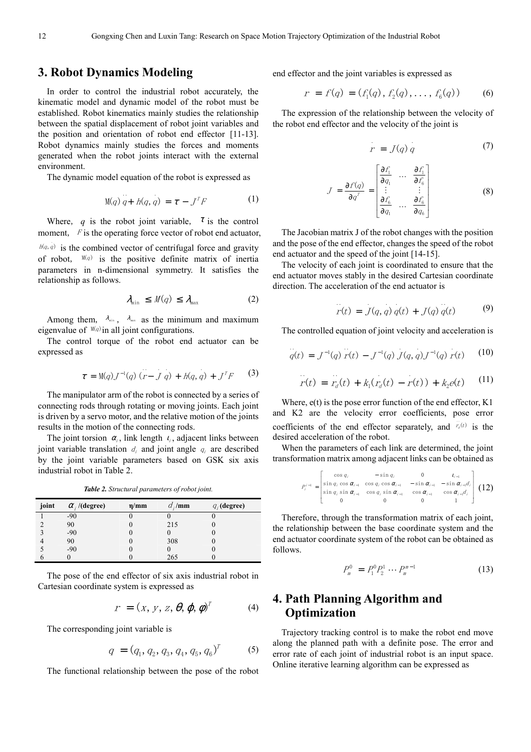#### **3. Robot Dynamics Modeling**

In order to control the industrial robot accurately, the kinematic model and dynamic model of the robot must be established. Robot kinematics mainly studies the relationship between the spatial displacement of robot joint variables and the position and orientation of robot end effector [11-13]. Robot dynamics mainly studies the forces and moments generated when the robot joints interact with the external environment.

The dynamic model equation of the robot is expressed as

$$
M(q) q + h(q, q) = \tau - J^T F \tag{1}
$$

Where, *q* is the robot joint variable,  $\tau$  is the control moment,  $\overline{F}$  is the operating force vector of robot end actuator,  $h(q, q)$  is the combined vector of centrifugal force and gravity of robot,  $M(q)$  is the positive definite matrix of inertia parameters in n-dimensional symmetry. It satisfies the relationship as follows.

$$
\lambda_{\min} \leq M(q) \leq \lambda_{\max} \tag{2}
$$

Among them,  $\lambda_{\min}$ ,  $\lambda_{\max}$  as the minimum and maximum eigenvalue of  $M(q)$  in all joint configurations.

The control torque of the robot end actuator can be expressed as

$$
\tau = M(q)J^{-1}(q)(r - J q) + h(q, q) + J^{T}F
$$
 (3)

The manipulator arm of the robot is connected by a series of connecting rods through rotating or moving joints. Each joint is driven by a servo motor, and the relative motion of the joints results in the motion of the connecting rods.

The joint torsion  $\alpha_i$ , link length  $\iota_i$ , adjacent links between joint variable translation  $d_i$  and joint angle  $q_i$  are described by the joint variable parameters based on GSK six axis industrial robot in Table 2.

*Table 2. Structural parameters of robot joint.* 

| joint | $\alpha_i$ /(degree) | $\eta$ /mm | $d_{i}/\text{mm}$ | $q_i$ (degree) |
|-------|----------------------|------------|-------------------|----------------|
|       | $-90$                |            |                   |                |
|       | 90                   |            | 215               |                |
|       | $-90$                |            |                   |                |
|       | 90                   |            | 308               |                |
|       | $-90$                |            |                   |                |
|       |                      |            | 265               |                |

The pose of the end effector of six axis industrial robot in Cartesian coordinate system is expressed as

$$
r = (x, y, z, \theta, \varphi, \phi)^{T}
$$
 (4)

The corresponding joint variable is

$$
q = (q_1, q_2, q_3, q_4, q_5, q_6)^T
$$
 (5)

The functional relationship between the pose of the robot

end effector and the joint variables is expressed as

$$
r = f(q) = (f_1(q), f_2(q), \dots, f_6(q))
$$
 (6)

The expression of the relationship between the velocity of the robot end effector and the velocity of the joint is

$$
r = J(q) q \tag{7}
$$

$$
J = \frac{\partial f(q)}{\partial q^r} = \begin{bmatrix} \frac{\partial f_1}{\partial q_1} & \cdots & \frac{\partial f_1}{\partial f_6} \\ \vdots & & \vdots \\ \frac{\partial f_6}{\partial q_1} & \cdots & \frac{\partial f_6}{\partial q_6} \end{bmatrix}
$$
 (8)

The Jacobian matrix J of the robot changes with the position and the pose of the end effector, changes the speed of the robot end actuator and the speed of the joint [14-15].

The velocity of each joint is coordinated to ensure that the end actuator moves stably in the desired Cartesian coordinate direction. The acceleration of the end actuator is

$$
r(t) = J(q, q) q(t) + J(q) q(t)
$$
 (9)

The controlled equation of joint velocity and acceleration is

$$
q(t) = J^{-1}(q) r(t) - J^{-1}(q) J(q,q) J^{-1}(q) r(t) \qquad (10)
$$

$$
r(t) = r_a(t) + k_1(r_a(t) - r(t)) + k_2e(t)
$$
 (11)

Where,  $e(t)$  is the pose error function of the end effector,  $K1$ and K2 are the velocity error coefficients, pose error coefficients of the end effector separately, and  $\hat{r}_a(t)$  is the desired acceleration of the robot.

When the parameters of each link are determined, the joint transformation matrix among adjacent links can be obtained as

$$
P_i^{i-1} = \begin{bmatrix} \cos q_i & -\sin q_i & 0 & t_{i-1} \\ \sin q_i \cos \alpha_{i-1} & \cos q_i \cos \alpha_{i-1} & -\sin \alpha_{i-1} & -\sin \alpha_{i-1} d_i \\ \sin q_i \sin \alpha_{i-1} & \cos q_i \sin \alpha_{i-1} & \cos \alpha_{i-1} & \cos \alpha_{i-1} d_i \\ 0 & 0 & 0 & 1 \end{bmatrix} (12)
$$

Therefore, through the transformation matrix of each joint, the relationship between the base coordinate system and the end actuator coordinate system of the robot can be obtained as follows.

$$
P_m^0 = P_1^0 P_2^1 \cdots P_m^{m-1} \tag{13}
$$

# **4. Path Planning Algorithm and Optimization**

Trajectory tracking control is to make the robot end move along the planned path with a definite pose. The error and error rate of each joint of industrial robot is an input space. Online iterative learning algorithm can be expressed as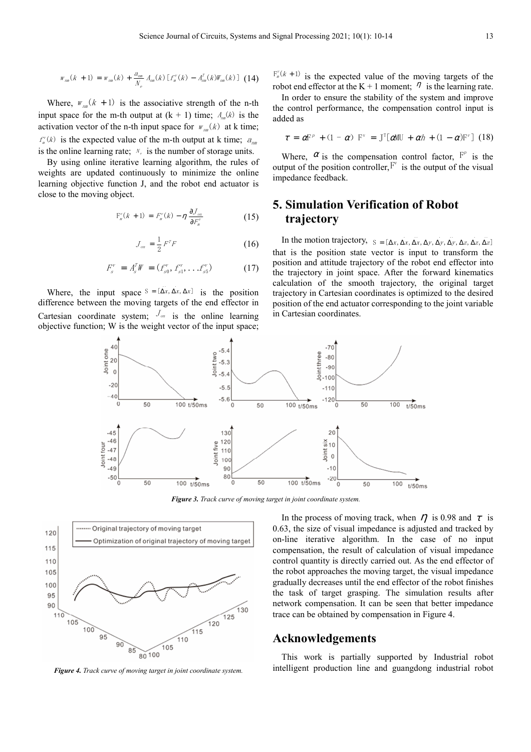$$
w_{_{\text{rms}}}(k + 1) = w_{_{\text{rms}}}(k) + \frac{a_{_{\text{rms}}}}{N_e} A_{_{\text{rms}}}(k) \left[ f_{_{\text{B}}}^{\nu}(k) - A_{_{\text{rms}}}}^{\tau}(k) J\!W_{_{\text{rms}}}(k) \right] \tag{14}
$$

Where,  $W_{nm}(k + 1)$  is the associative strength of the n-th input space for the m-th output at  $(k + 1)$  time;  $A_{nm}(k)$  is the activation vector of the n-th input space for  $w_{nm}(k)$  at k time;  $f''_{\pi}(k)$  is the expected value of the m-th output at k time;  $a_{nm}$ is the online learning rate;  $N_e$  is the number of storage units.

By using online iterative learning algorithm, the rules of weights are updated continuously to minimize the online learning objective function J, and the robot end actuator is close to the moving object.

$$
\mathcal{F}_{\mathbf{m}}^{\nu}(k+1) = F_{\mathbf{m}}^{\nu}(k) - \eta \frac{\partial J_{\mathbf{m}}}{\partial F_{\mathbf{m}}^{\nu}}
$$
(15)

$$
J_{\scriptscriptstyle on} = \frac{1}{2} F^T F \tag{16}
$$

$$
F_s^{\nu} = A_s^T W = (f_{s0}^{\nu}, f_{s1}^{\nu}, \dots, f_{s5}^{\nu})
$$
 (17)

Where, the input space  $S = [\Delta x, \Delta x, \Delta x]$  is the position difference between the moving targets of the end effector in Cartesian coordinate system;  $J_{\text{on}}$  is the online learning objective function; W is the weight vector of the input space;

 $F_n^{\nu}(k+1)$  is the expected value of the moving targets of the robot end effector at the K + 1 moment;  $\eta$  is the learning rate.

In order to ensure the stability of the system and improve the control performance, the compensation control input is added as

$$
\tau = \alpha F^{\nu} + (1 - \alpha) F^{\nu} = J^{T}[\alpha MU + \alpha h + (1 - \alpha) F^{\nu}] (18)
$$

Where,  $\alpha$  is the compensation control factor,  $F^p$  is the output of the position controller,  $F^v$  is the output of the visual impedance feedback.

# **5. Simulation Verification of Robot trajectory**

In the motion trajectory,  $S = [\Delta x, \Delta x, \Delta y, \Delta y, \Delta y, \Delta z, \Delta z, \Delta z]$ that is the position state vector is input to transform the position and attitude trajectory of the robot end effector into the trajectory in joint space. After the forward kinematics calculation of the smooth trajectory, the original target trajectory in Cartesian coordinates is optimized to the desired position of the end actuator corresponding to the joint variable in Cartesian coordinates.



*Figure 3. Track curve of moving target in joint coordinate system.* 



*Figure 4. Track curve of moving target in joint coordinate system.* 

In the process of moving track, when  $\eta$  is 0.98 and  $\tau$  is 0.63, the size of visual impedance is adjusted and tracked by on-line iterative algorithm. In the case of no input compensation, the result of calculation of visual impedance control quantity is directly carried out. As the end effector of the robot approaches the moving target, the visual impedance gradually decreases until the end effector of the robot finishes the task of target grasping. The simulation results after network compensation. It can be seen that better impedance trace can be obtained by compensation in Figure 4.

#### **Acknowledgements**

This work is partially supported by Industrial robot intelligent production line and guangdong industrial robot